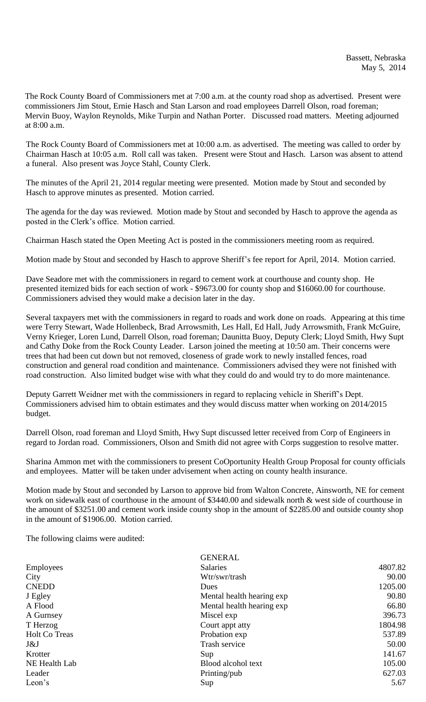The Rock County Board of Commissioners met at 7:00 a.m. at the county road shop as advertised. Present were commissioners Jim Stout, Ernie Hasch and Stan Larson and road employees Darrell Olson, road foreman; Mervin Buoy, Waylon Reynolds, Mike Turpin and Nathan Porter. Discussed road matters. Meeting adjourned at 8:00 a.m.

The Rock County Board of Commissioners met at 10:00 a.m. as advertised. The meeting was called to order by Chairman Hasch at 10:05 a.m. Roll call was taken. Present were Stout and Hasch. Larson was absent to attend a funeral. Also present was Joyce Stahl, County Clerk.

The minutes of the April 21, 2014 regular meeting were presented. Motion made by Stout and seconded by Hasch to approve minutes as presented. Motion carried.

The agenda for the day was reviewed. Motion made by Stout and seconded by Hasch to approve the agenda as posted in the Clerk's office. Motion carried.

Chairman Hasch stated the Open Meeting Act is posted in the commissioners meeting room as required.

Motion made by Stout and seconded by Hasch to approve Sheriff's fee report for April, 2014. Motion carried.

Dave Seadore met with the commissioners in regard to cement work at courthouse and county shop. He presented itemized bids for each section of work - \$9673.00 for county shop and \$16060.00 for courthouse. Commissioners advised they would make a decision later in the day.

Several taxpayers met with the commissioners in regard to roads and work done on roads. Appearing at this time were Terry Stewart, Wade Hollenbeck, Brad Arrowsmith, Les Hall, Ed Hall, Judy Arrowsmith, Frank McGuire, Verny Krieger, Loren Lund, Darrell Olson, road foreman; Daunitta Buoy, Deputy Clerk; Lloyd Smith, Hwy Supt and Cathy Doke from the Rock County Leader. Larson joined the meeting at 10:50 am. Their concerns were trees that had been cut down but not removed, closeness of grade work to newly installed fences, road construction and general road condition and maintenance. Commissioners advised they were not finished with road construction. Also limited budget wise with what they could do and would try to do more maintenance.

Deputy Garrett Weidner met with the commissioners in regard to replacing vehicle in Sheriff's Dept. Commissioners advised him to obtain estimates and they would discuss matter when working on 2014/2015 budget.

Darrell Olson, road foreman and Lloyd Smith, Hwy Supt discussed letter received from Corp of Engineers in regard to Jordan road. Commissioners, Olson and Smith did not agree with Corps suggestion to resolve matter.

Sharina Ammon met with the commissioners to present CoOportunity Health Group Proposal for county officials and employees. Matter will be taken under advisement when acting on county health insurance.

Motion made by Stout and seconded by Larson to approve bid from Walton Concrete, Ainsworth, NE for cement work on sidewalk east of courthouse in the amount of \$3440.00 and sidewalk north & west side of courthouse in the amount of \$3251.00 and cement work inside county shop in the amount of \$2285.00 and outside county shop in the amount of \$1906.00. Motion carried.

The following claims were audited:

| <b>Salaries</b><br>Employees          | 4807.82 |
|---------------------------------------|---------|
| City<br>Wtr/swr/trash                 | 90.00   |
| <b>CNEDD</b><br>Dues                  | 1205.00 |
| J Egley<br>Mental health hearing exp  | 90.80   |
| A Flood<br>Mental health hearing exp  | 66.80   |
| Miscel exp<br>A Gurnsey               | 396.73  |
| T Herzog<br>Court appt atty           | 1804.98 |
| <b>Holt Co Treas</b><br>Probation exp | 537.89  |
| Trash service<br>J&J                  | 50.00   |
| Krotter<br>Sup                        | 141.67  |
| Blood alcohol text<br>NE Health Lab   | 105.00  |
| Leader<br>Printing/pub                | 627.03  |
| Leon's<br>Sup                         | 5.67    |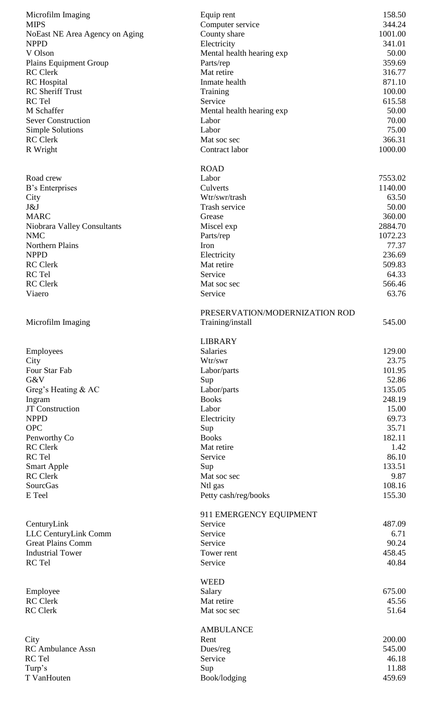| Microfilm Imaging              | Equip rent                     | 158.50  |
|--------------------------------|--------------------------------|---------|
| <b>MIPS</b>                    | Computer service               | 344.24  |
| NoEast NE Area Agency on Aging | County share                   | 1001.00 |
| <b>NPPD</b>                    | Electricity                    | 341.01  |
| V Olson                        | Mental health hearing exp      | 50.00   |
| <b>Plains Equipment Group</b>  | Parts/rep                      | 359.69  |
| <b>RC</b> Clerk                | Mat retire                     | 316.77  |
| <b>RC</b> Hospital             | Inmate health                  | 871.10  |
| <b>RC</b> Sheriff Trust        | Training                       | 100.00  |
| RC Tel                         | Service                        | 615.58  |
| M Schaffer                     | Mental health hearing exp      | 50.00   |
| <b>Sever Construction</b>      | Labor                          | 70.00   |
| <b>Simple Solutions</b>        | Labor                          | 75.00   |
| <b>RC</b> Clerk                | Mat soc sec                    | 366.31  |
| R Wright                       | Contract labor                 | 1000.00 |
|                                | <b>ROAD</b>                    |         |
| Road crew                      | Labor                          | 7553.02 |
|                                | Culverts                       | 1140.00 |
| B's Enterprises                | Wtr/swr/trash                  | 63.50   |
| City<br>J&J                    | Trash service                  | 50.00   |
| <b>MARC</b>                    |                                | 360.00  |
|                                | Grease                         |         |
| Niobrara Valley Consultants    | Miscel exp                     | 2884.70 |
| <b>NMC</b>                     | Parts/rep                      | 1072.23 |
| Northern Plains                | Iron                           | 77.37   |
| <b>NPPD</b>                    | Electricity                    | 236.69  |
| <b>RC</b> Clerk                | Mat retire                     | 509.83  |
| RC Tel                         | Service                        | 64.33   |
| <b>RC</b> Clerk                | Mat soc sec                    | 566.46  |
| Viaero                         | Service                        | 63.76   |
|                                | PRESERVATION/MODERNIZATION ROD |         |
| Microfilm Imaging              | Training/install               | 545.00  |
|                                |                                |         |
|                                | <b>LIBRARY</b>                 |         |
| Employees                      | <b>Salaries</b>                | 129.00  |
| City                           | Wtr/swr                        | 23.75   |
| Four Star Fab                  | Labor/parts                    | 101.95  |
| G&V                            | Sup                            | 52.86   |
| Greg's Heating $&AC$           | Labor/parts                    | 135.05  |
| Ingram                         | <b>Books</b>                   | 248.19  |
| <b>JT</b> Construction         | Labor                          | 15.00   |
| <b>NPPD</b>                    | Electricity                    | 69.73   |
| <b>OPC</b>                     | Sup                            | 35.71   |
| Penworthy Co                   | <b>Books</b>                   | 182.11  |
| <b>RC</b> Clerk                | Mat retire                     | 1.42    |
| RC Tel                         | Service                        | 86.10   |
| <b>Smart Apple</b>             | Sup                            | 133.51  |
| <b>RC</b> Clerk                | Mat soc sec                    | 9.87    |
| SourcGas                       | Ntl gas                        | 108.16  |
| E Teel                         | Petty cash/reg/books           | 155.30  |
|                                | 911 EMERGENCY EQUIPMENT        |         |
| CenturyLink                    | Service                        | 487.09  |
| LLC CenturyLink Comm           | Service                        | 6.71    |
| <b>Great Plains Comm</b>       | Service                        | 90.24   |
| <b>Industrial Tower</b>        | Tower rent                     | 458.45  |
| RC Tel                         | Service                        | 40.84   |
|                                |                                |         |
|                                | <b>WEED</b>                    |         |
| Employee                       | Salary                         | 675.00  |
| <b>RC</b> Clerk                | Mat retire                     | 45.56   |
| <b>RC</b> Clerk                | Mat soc sec                    | 51.64   |
|                                | <b>AMBULANCE</b>               |         |
| City                           | Rent                           | 200.00  |
| RC Ambulance Assn              | Dues/reg                       | 545.00  |
| RC Tel                         | Service                        | 46.18   |
| Turp's                         | Sup                            | 11.88   |
| T VanHouten                    | Book/lodging                   | 459.69  |
|                                |                                |         |